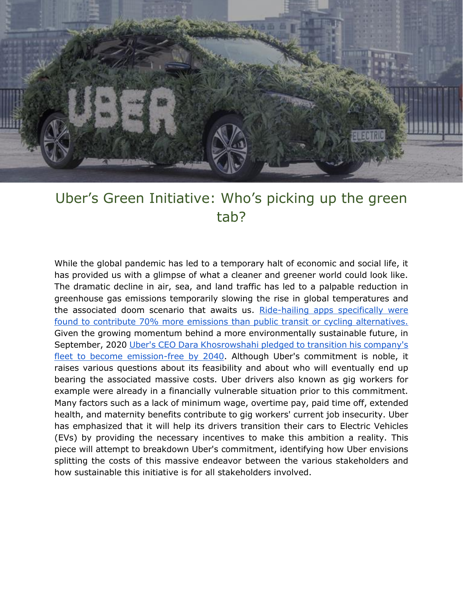

# Uber's Green Initiative: Who's picking up the green tab?

While the global pandemic has led to a temporary halt of economic and social life, it has provided us with a glimpse of what a cleaner and greener world could look like. The dramatic decline in air, sea, and land traffic has led to a palpable reduction in greenhouse gas emissions temporarily slowing the rise in global temperatures and the associated doom scenario that awaits us. [Ride-hailing apps specifically were](https://www.reuters.com/article/us-uber-emissions/ride-hailing-increases-emissions-contributes-to-climate-pollution-study-idINKBN20J27K)  [found to contribute 70% more emissions than public transit or cycling alternatives.](https://www.reuters.com/article/us-uber-emissions/ride-hailing-increases-emissions-contributes-to-climate-pollution-study-idINKBN20J27K) Given the growing momentum behind a more environmentally sustainable future, in September, 2020 [Uber's CEO Dara Khosrowshahi pledged to transition his company's](https://www.uber.com/ca/en/about/sustainability/)  [fleet to become emission-free by 2040.](https://www.uber.com/ca/en/about/sustainability/) Although Uber's commitment is noble, it raises various questions about its feasibility and about who will eventually end up bearing the associated massive costs. Uber drivers also known as gig workers for example were already in a financially vulnerable situation prior to this commitment. Many factors such as a lack of minimum wage, overtime pay, paid time off, extended health, and maternity benefits contribute to gig workers' current job insecurity. Uber has emphasized that it will help its drivers transition their cars to Electric Vehicles (EVs) by providing the necessary incentives to make this ambition a reality. This piece will attempt to breakdown Uber's commitment, identifying how Uber envisions splitting the costs of this massive endeavor between the various stakeholders and how sustainable this initiative is for all stakeholders involved.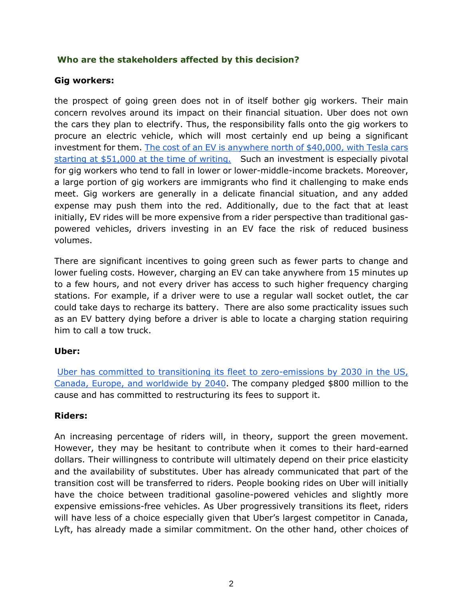## **Who are the stakeholders affected by this decision?**

### **Gig workers:**

the prospect of going green does not in of itself bother gig workers. Their main concern revolves around its impact on their financial situation. Uber does not own the cars they plan to electrify. Thus, the responsibility falls onto the gig workers to procure an electric vehicle, which will most certainly end up being a significant investment for them. [The cost of an EV is anywhere north of \\$40,000, with Tesla cars](https://www.canadadrives.ca/blog/car-guide/cheapest-electric-cars-in-canada)  [starting at \\$51,000 at the time of writing.](https://www.canadadrives.ca/blog/car-guide/cheapest-electric-cars-in-canada) Such an investment is especially pivotal for gig workers who tend to fall in lower or lower-middle-income brackets. Moreover, a large portion of gig workers are immigrants who find it challenging to make ends meet. Gig workers are generally in a delicate financial situation, and any added expense may push them into the red. Additionally, due to the fact that at least initially, EV rides will be more expensive from a rider perspective than traditional gaspowered vehicles, drivers investing in an EV face the risk of reduced business volumes.

There are significant incentives to going green such as fewer parts to change and lower fueling costs. However, charging an EV can take anywhere from 15 minutes up to a few hours, and not every driver has access to such higher frequency charging stations. For example, if a driver were to use a regular wall socket outlet, the car could take days to recharge its battery. There are also some practicality issues such as an EV battery dying before a driver is able to locate a charging station requiring him to call a tow truck.

# **Uber:**

Uber has committed to transitioning its fleet to zero-emissions by 2030 in the US, Canada, Europe, [and worldwide by 2040.](https://d1nyezh1ys8wfo.cloudfront.net/static/PDFs/Uber_ClimateAssessmentandPerformanceReport_10_05_2020.pdf?uclick_id=6381961c-c809-43ec-8f3c-268e51ef3aa2) The company pledged \$800 million to the cause and has committed to restructuring its fees to support it.

### **Riders:**

An increasing percentage of riders will, in theory, support the green movement. However, they may be hesitant to contribute when it comes to their hard-earned dollars. Their willingness to contribute will ultimately depend on their price elasticity and the availability of substitutes. Uber has already communicated that part of the transition cost will be transferred to riders. People booking rides on Uber will initially have the choice between traditional gasoline-powered vehicles and slightly more expensive emissions-free vehicles. As Uber progressively transitions its fleet, riders will have less of a choice especially given that Uber's largest competitor in Canada, Lyft, has already made a similar commitment. On the other hand, other choices of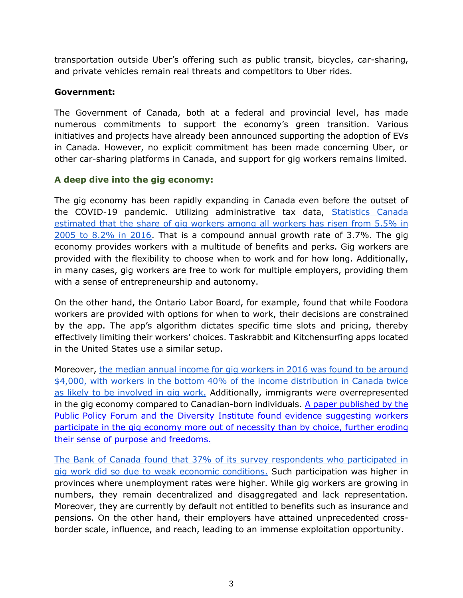transportation outside Uber's offering such as public transit, bicycles, car-sharing, and private vehicles remain real threats and competitors to Uber rides.

## **Government:**

The Government of Canada, both at a federal and provincial level, has made numerous commitments to support the economy's green transition. Various initiatives and projects have already been announced supporting the adoption of EVs in Canada. However, no explicit commitment has been made concerning Uber, or other car-sharing platforms in Canada, and support for gig workers remains limited.

## **A deep dive into the gig economy:**

The gig economy has been rapidly expanding in Canada even before the outset of the COVID-19 pandemic. Utilizing administrative tax data, [Statistics Canada](https://www150.statcan.gc.ca/n1/pub/11f0019m/11f0019m2019025-eng.htm)  estimated that the share of gig workers among all workers has risen from 5.5% in [2005 to 8.2% in 2016.](https://www150.statcan.gc.ca/n1/pub/11f0019m/11f0019m2019025-eng.htm) That is a compound annual growth rate of 3.7%. The gig economy provides workers with a multitude of benefits and perks. Gig workers are provided with the flexibility to choose when to work and for how long. Additionally, in many cases, gig workers are free to work for multiple employers, providing them with a sense of entrepreneurship and autonomy.

On the other hand, the Ontario Labor Board, for example, found that while Foodora workers are provided with options for when to work, their decisions are constrained by the app. The app's algorithm dictates specific time slots and pricing, thereby effectively limiting their workers' choices. Taskrabbit and Kitchensurfing apps located in the United States use a similar setup.

Moreover[,](https://www150.statcan.gc.ca/n1/pub/11f0019m/11f0019m2019025-eng.htm) the median annual income for gig workers in 2016 was found to be around [\\$4,000, with workers in the bottom 40% of the income distribution in Canada twice](https://www150.statcan.gc.ca/n1/pub/11f0019m/11f0019m2019025-eng.htm)  [as likely to be involved in gig work.](https://www150.statcan.gc.ca/n1/pub/11f0019m/11f0019m2019025-eng.htm) Additionally, immigrants were overrepresented in the gig economy compared to Canadian-born individuals. [A paper published by the](https://ppforum.ca/wp-content/uploads/2020/07/UnderstandingTheNatureAndExperienceOfGigWorkInCanada-PPF-July2020-EN.pdf)  [Public Policy Forum and the Diversity Institute found evidence suggesting workers](https://ppforum.ca/wp-content/uploads/2020/07/UnderstandingTheNatureAndExperienceOfGigWorkInCanada-PPF-July2020-EN.pdf)  [participate in the gig economy more out of necessity than by choice, further eroding](https://ppforum.ca/wp-content/uploads/2020/07/UnderstandingTheNatureAndExperienceOfGigWorkInCanada-PPF-July2020-EN.pdf)  their sense of purpose and freedoms.

[The Bank of Canada found that 37% of its survey respondents who participated in](https://www.bankofcanada.ca/wp-content/uploads/2019/02/san2019-6.pdf)  [gig work did so due to weak economic conditions.](https://www.bankofcanada.ca/wp-content/uploads/2019/02/san2019-6.pdf) Such participation was higher in provinces where unemployment rates were higher. While gig workers are growing in numbers, they remain decentralized and disaggregated and lack representation. Moreover, they are currently by default not entitled to benefits such as insurance and pensions. On the other hand, their employers have attained unprecedented crossborder scale, influence, and reach, leading to an immense exploitation opportunity.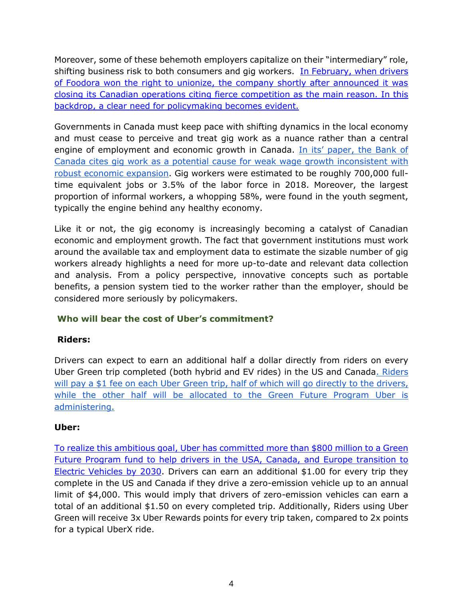Moreover, some of these behemoth employers capitalize on their "intermediary" role, shifting business risk to both consumers and gig workers. [In February, when drivers](https://www.theglobeandmail.com/business/article-foodora-to-exit-canada-three-months-after-workers-won-the-right-to/#:~:text=27%2C%202020.&text=The%20food%20delivery%20service%20app,won%20the%20right%20to%20unionize.&text=Foodora%20couriers%20in%20the%20Greater,of%20Postal%20Workers%2C%20or%20CUPW.)  [of Foodora won the right to unionize, the company shortly after announced it was](https://www.theglobeandmail.com/business/article-foodora-to-exit-canada-three-months-after-workers-won-the-right-to/#:~:text=27%2C%202020.&text=The%20food%20delivery%20service%20app,won%20the%20right%20to%20unionize.&text=Foodora%20couriers%20in%20the%20Greater,of%20Postal%20Workers%2C%20or%20CUPW.)  [closing its Canadian operations citing fierce competition as the main reason. In this](https://www.theglobeandmail.com/business/article-foodora-to-exit-canada-three-months-after-workers-won-the-right-to/#:~:text=27%2C%202020.&text=The%20food%20delivery%20service%20app,won%20the%20right%20to%20unionize.&text=Foodora%20couriers%20in%20the%20Greater,of%20Postal%20Workers%2C%20or%20CUPW.)  [backdrop, a clear need for policymaking becomes evident.](https://www.theglobeandmail.com/business/article-foodora-to-exit-canada-three-months-after-workers-won-the-right-to/#:~:text=27%2C%202020.&text=The%20food%20delivery%20service%20app,won%20the%20right%20to%20unionize.&text=Foodora%20couriers%20in%20the%20Greater,of%20Postal%20Workers%2C%20or%20CUPW.)

Governments in Canada must keep pace with shifting dynamics in the local economy and must cease to perceive and treat gig work as a nuance rather than a central engine of employment and economic growth in Canada. In its' paper, the Bank of [Canada cites gig work as a potential cause for weak wage growth inconsistent with](https://www.bankofcanada.ca/wp-content/uploads/2019/02/san2019-6.pdf)  [robust economic expansion.](https://www.bankofcanada.ca/wp-content/uploads/2019/02/san2019-6.pdf) Gig workers were estimated to be roughly 700,000 fulltime equivalent jobs or 3.5% of the labor force in 2018. Moreover, the largest proportion of informal workers, a whopping 58%, were found in the youth segment, typically the engine behind any healthy economy.

Like it or not, the gig economy is increasingly becoming a catalyst of Canadian economic and employment growth. The fact that government institutions must work around the available tax and employment data to estimate the sizable number of gig workers already highlights a need for more up-to-date and relevant data collection and analysis. From a policy perspective, innovative concepts such as portable benefits, a pension system tied to the worker rather than the employer, should be considered more seriously by policymakers.

# **Who will bear the cost of Uber's commitment?**

### **Riders:**

Drivers can expect to earn an additional half a dollar directly from riders on every Uber Green trip completed (both hybrid and EV rides) in the US and Canada. Riders will pay a \$1 fee on each Uber Green trip, half of which will go directly to the drivers, [while the other half will be allocated to the Green Future Program Uber is](https://d1nyezh1ys8wfo.cloudfront.net/static/PDFs/Uber_ClimateAssessmentandPerformanceReport_10_05_2020.pdf?uclick_id=6381961c-c809-43ec-8f3c-268e51ef3aa2)  [administering.](https://d1nyezh1ys8wfo.cloudfront.net/static/PDFs/Uber_ClimateAssessmentandPerformanceReport_10_05_2020.pdf?uclick_id=6381961c-c809-43ec-8f3c-268e51ef3aa2)

### **Uber:**

[To realize this ambitious goal, Uber has committed more than \\$800 million to a Green](https://d1nyezh1ys8wfo.cloudfront.net/static/PDFs/Uber_ClimateAssessmentandPerformanceReport_10_05_2020.pdf?uclick_id=6381961c-c809-43ec-8f3c-268e51ef3aa2)  [Future Program fund to help drivers in the USA, Canada, and Europe transition to](https://d1nyezh1ys8wfo.cloudfront.net/static/PDFs/Uber_ClimateAssessmentandPerformanceReport_10_05_2020.pdf?uclick_id=6381961c-c809-43ec-8f3c-268e51ef3aa2)  [Electric Vehicles by 2030.](https://d1nyezh1ys8wfo.cloudfront.net/static/PDFs/Uber_ClimateAssessmentandPerformanceReport_10_05_2020.pdf?uclick_id=6381961c-c809-43ec-8f3c-268e51ef3aa2) Drivers can earn an additional \$1.00 for every trip they complete in the US and Canada if they drive a zero-emission vehicle up to an annual limit of \$4,000. This would imply that drivers of zero-emission vehicles can earn a total of an additional \$1.50 on every completed trip. Additionally, Riders using Uber Green will receive 3x Uber Rewards points for every trip taken, compared to 2x points for a typical UberX ride.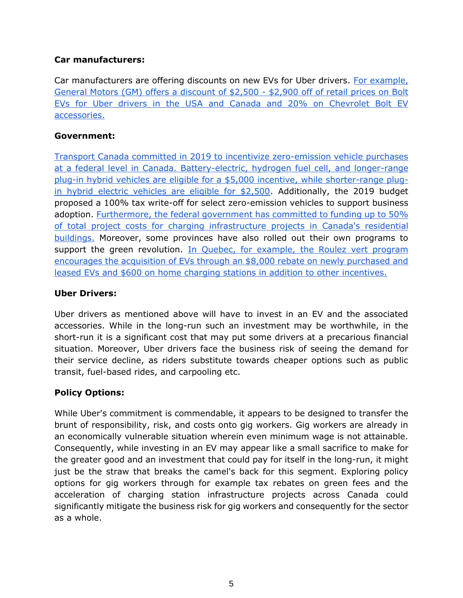## **Car manufacturers:**

Car manufacturers are offering discounts on new EVs for Uber drivers[.](https://www.freep.com/story/money/cars/general-motors/2020/09/08/gm-uber-bolt-electric-vehicles/5745574002/) [For example,](https://www.freep.com/story/money/cars/general-motors/2020/09/08/gm-uber-bolt-electric-vehicles/5745574002/)  [General Motors \(GM\) offers a discount of \\$2,500 -](https://www.freep.com/story/money/cars/general-motors/2020/09/08/gm-uber-bolt-electric-vehicles/5745574002/) \$2,900 off of retail prices on Bolt [EVs for Uber drivers in the USA and Canada and 20% on](https://www.freep.com/story/money/cars/general-motors/2020/09/08/gm-uber-bolt-electric-vehicles/5745574002/) Chevrolet Bolt EV [accessories.](https://www.freep.com/story/money/cars/general-motors/2020/09/08/gm-uber-bolt-electric-vehicles/5745574002/) 

## **Government:**

[Transport Canada committed in 2019 to incentivize zero-emission vehicle purchases](https://tc.canada.ca/en/road-transportation/innovative-technologies/zero-emission-vehicles)  [at a federal level in Canada. Battery-electric, hydrogen fuel cell, and longer-range](https://tc.canada.ca/en/road-transportation/innovative-technologies/zero-emission-vehicles)  [plug-in hybrid vehicles are eligible for a](https://tc.canada.ca/en/road-transportation/innovative-technologies/zero-emission-vehicles) \$5,000 incentive, while shorter-range plug[in hybrid electric vehicles are eligible for \\$2,500.](https://tc.canada.ca/en/road-transportation/innovative-technologies/zero-emission-vehicles) Additionally, the 2019 budget proposed a 100% tax write-off for select zero-emission vehicles to support business adoption. Furthermore, the federal government has committed to funding up to 50% [of total project costs for charging infrastructure projects in Canada's residential](https://www.nrcan.gc.ca/energy-efficiency/energy-efficiency-transportation-alternative-fuels/zero-emission-vehicle-infrastructure-program/21876)  [buildings.](https://www.nrcan.gc.ca/energy-efficiency/energy-efficiency-transportation-alternative-fuels/zero-emission-vehicle-infrastructure-program/21876) [M](https://vehiculeselectriques.gouv.qc.ca/english/)oreover, some provinces have also rolled out their own programs to support the green revolution. In Quebec, for example, [the Roulez vert program](https://vehiculeselectriques.gouv.qc.ca/english/)  [encourages the acquisition of EVs through an \\$8,000 rebate on newly purchased and](https://vehiculeselectriques.gouv.qc.ca/english/)  [leased EVs and \\$600 on home charging stations in addition to other incentives.](https://vehiculeselectriques.gouv.qc.ca/english/) 

## **Uber Drivers:**

Uber drivers as mentioned above will have to invest in an EV and the associated accessories. While in the long-run such an investment may be worthwhile, in the short-run it is a significant cost that may put some drivers at a precarious financial situation. Moreover, Uber drivers face the business risk of seeing the demand for their service decline, as riders substitute towards cheaper options such as public transit, fuel-based rides, and carpooling etc.

# **Policy Options:**

While Uber's commitment is commendable, it appears to be designed to transfer the brunt of responsibility, risk, and costs onto gig workers. Gig workers are already in an economically vulnerable situation wherein even minimum wage is not attainable. Consequently, while investing in an EV may appear like a small sacrifice to make for the greater good and an investment that could pay for itself in the long-run, it might just be the straw that breaks the camel's back for this segment. Exploring policy options for gig workers through for example tax rebates on green fees and the acceleration of charging station infrastructure projects across Canada could significantly mitigate the business risk for gig workers and consequently for the sector as a whole.